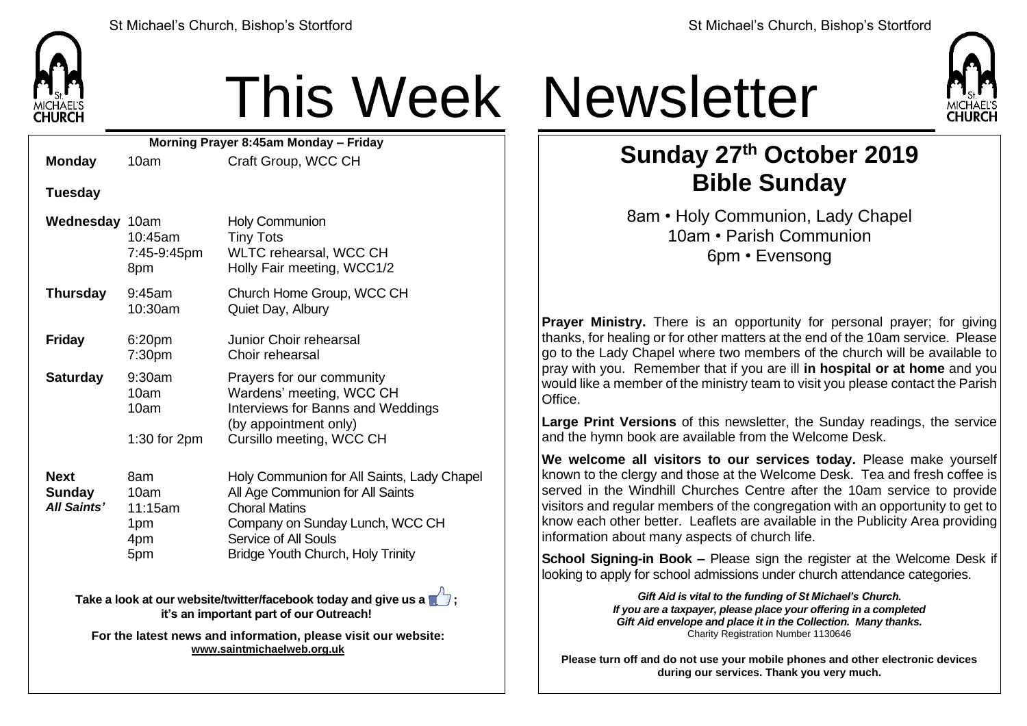

## This Week Newsletter

**Morning Prayer 8:45am Monday – Friday Monday** 10am Craft Group, WCC CH

**Tuesday**

| Wednesday 10am                                     | 10:45am<br>7:45-9:45pm<br>8pm               | <b>Holy Communion</b><br><b>Tiny Tots</b><br>WLTC rehearsal, WCC CH<br>Holly Fair meeting, WCC1/2                                                                                                      |
|----------------------------------------------------|---------------------------------------------|--------------------------------------------------------------------------------------------------------------------------------------------------------------------------------------------------------|
| <b>Thursday</b>                                    | 9:45am<br>10:30am                           | Church Home Group, WCC CH<br>Quiet Day, Albury                                                                                                                                                         |
| <b>Friday</b>                                      | 6:20 <sub>pm</sub><br>7:30pm                | Junior Choir rehearsal<br>Choir rehearsal                                                                                                                                                              |
| <b>Saturday</b>                                    | 9:30am<br>10am<br>10am<br>1:30 for $2pm$    | Prayers for our community<br>Wardens' meeting, WCC CH<br><b>Interviews for Banns and Weddings</b><br>(by appointment only)<br>Cursillo meeting, WCC CH                                                 |
| <b>Next</b><br><b>Sunday</b><br><b>All Saints'</b> | 8am<br>10am<br>11:15am<br>1pm<br>4pm<br>5pm | Holy Communion for All Saints, Lady Chapel<br>All Age Communion for All Saints<br><b>Choral Matins</b><br>Company on Sunday Lunch, WCC CH<br>Service of All Souls<br>Bridge Youth Church, Holy Trinity |

**Take a look at our website/twitter/facebook today and give us a**  $\blacksquare$ **: it's an important part of our Outreach!**

**For the latest news and information, please visit our website: [www.saintmichaelweb.org.uk](http://www.saintmichaelweb.org.uk/)**



## **Sunday 27 th October 2019 Bible Sunday**

8am • Holy Communion, Lady Chapel 10am • Parish Communion 6pm • Evensong

**Prayer Ministry.** There is an opportunity for personal prayer; for giving thanks, for healing or for other matters at the end of the 10am service. Please go to the Lady Chapel where two members of the church will be available to pray with you. Remember that if you are ill **in hospital or at home** and you would like a member of the ministry team to visit you please contact the Parish Office.

**Large Print Versions** of this newsletter, the Sunday readings, the service and the hymn book are available from the Welcome Desk.

**We welcome all visitors to our services today.** Please make yourself known to the clergy and those at the Welcome Desk. Tea and fresh coffee is served in the Windhill Churches Centre after the 10am service to provide visitors and regular members of the congregation with an opportunity to get to know each other better. Leaflets are available in the Publicity Area providing information about many aspects of church life.

**School Signing-in Book –** Please sign the register at the Welcome Desk if looking to apply for school admissions under church attendance categories.

> *Gift Aid is vital to the funding of St Michael's Church. If you are a taxpayer, please place your offering in a completed Gift Aid envelope and place it in the Collection. Many thanks.* Charity Registration Number 1130646

**Please turn off and do not use your mobile phones and other electronic devices during our services. Thank you very much.**